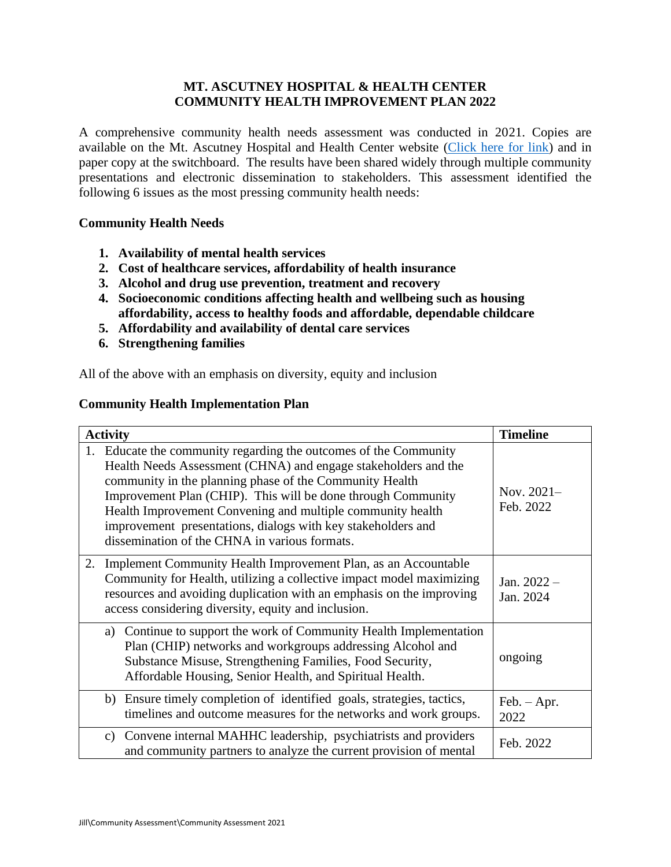## **MT. ASCUTNEY HOSPITAL & HEALTH CENTER COMMUNITY HEALTH IMPROVEMENT PLAN 2022**

A comprehensive community health needs assessment was conducted in 2021. Copies are available on the Mt. Ascutney Hospital and Health Center website [\(Click here for link\)](https://www.mtascutneyhospital.org/about/community-health-needs) and in paper copy at the switchboard. The results have been shared widely through multiple community presentations and electronic dissemination to stakeholders. This assessment identified the following 6 issues as the most pressing community health needs:

## **Community Health Needs**

- **1. Availability of mental health services**
- **2. Cost of healthcare services, affordability of health insurance**
- **3. Alcohol and drug use prevention, treatment and recovery**
- **4. Socioeconomic conditions affecting health and wellbeing such as housing affordability, access to healthy foods and affordable, dependable childcare**
- **5. Affordability and availability of dental care services**
- **6. Strengthening families**

All of the above with an emphasis on diversity, equity and inclusion

## **Community Health Implementation Plan**

| <b>Activity</b>                                                                                                                                                                                                                                                                                                                                                                                                                              | <b>Timeline</b>            |
|----------------------------------------------------------------------------------------------------------------------------------------------------------------------------------------------------------------------------------------------------------------------------------------------------------------------------------------------------------------------------------------------------------------------------------------------|----------------------------|
| 1. Educate the community regarding the outcomes of the Community<br>Health Needs Assessment (CHNA) and engage stakeholders and the<br>community in the planning phase of the Community Health<br>Improvement Plan (CHIP). This will be done through Community<br>Health Improvement Convening and multiple community health<br>improvement presentations, dialogs with key stakeholders and<br>dissemination of the CHNA in various formats. | Nov. $2021-$<br>Feb. 2022  |
| 2.<br>Implement Community Health Improvement Plan, as an Accountable<br>Community for Health, utilizing a collective impact model maximizing<br>resources and avoiding duplication with an emphasis on the improving<br>access considering diversity, equity and inclusion.                                                                                                                                                                  | Jan. $2022 -$<br>Jan. 2024 |
| a) Continue to support the work of Community Health Implementation<br>Plan (CHIP) networks and workgroups addressing Alcohol and<br>Substance Misuse, Strengthening Families, Food Security,<br>Affordable Housing, Senior Health, and Spiritual Health.                                                                                                                                                                                     | ongoing                    |
| b) Ensure timely completion of identified goals, strategies, tactics,<br>timelines and outcome measures for the networks and work groups.                                                                                                                                                                                                                                                                                                    | $Feb. - Apr.$<br>2022      |
| c) Convene internal MAHHC leadership, psychiatrists and providers<br>and community partners to analyze the current provision of mental                                                                                                                                                                                                                                                                                                       | Feb. 2022                  |